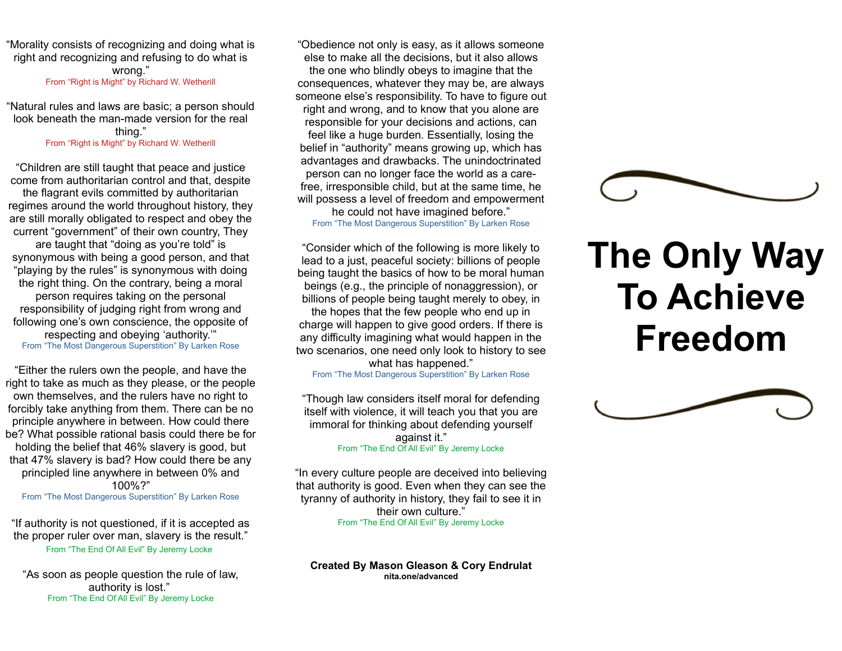"Morality consists of recognizing and doing what is right and recognizing and refusing to do what is wrong." From "Right is Might" by Richard W. Wetherill

"Natural rules and laws are basic; a person should look beneath the man-made version for the real thing." From "Right is Might" by Richard W. Wetherill

"Children are still taught that peace and justice come from authoritarian control and that, despite the flagrant evils committed by authoritarian regimes around the world throughout history, they are still morally obligated to respect and obey the current "government" of their own country, They are taught that "doing as you're told" is synonymous with being a good person, and that "playing by the rules" is synonymous with doing the right thing. On the contrary, being a moral person requires taking on the personal responsibility of judging right from wrong and following one's own conscience, the opposite of respecting and obeying 'authority.'" From "The Most Dangerous Superstition" By Larken Rose

"Either the rulers own the people, and have the right to take as much as they please, or the people own themselves, and the rulers have no right to forcibly take anything from them. There can be no principle anywhere in between. How could there be? What possible rational basis could there be for holding the belief that 46% slavery is good, but that 47% slavery is bad? How could there be any principled line anywhere in between 0% and 100%?"

From "The Most Dangerous Superstition" By Larken Rose

"If authority is not questioned, if it is accepted as the proper ruler over man, slavery is the result." From "The End Of All Evil" By Jeremy Locke

"As soon as people question the rule of law, authority is lost." From "The End Of All Evil" By Jeremy Locke

"Obedience not only is easy, as it allows someone else to make all the decisions, but it also allows the one who blindly obeys to imagine that the consequences, whatever they may be, are always someone else's responsibility. To have to figure out right and wrong, and to know that you alone are responsible for your decisions and actions, can feel like a huge burden. Essentially, losing the belief in "authority" means growing up, which has advantages and drawbacks. The unindoctrinated person can no longer face the world as a carefree, irresponsible child, but at the same time, he will possess a level of freedom and empowerment he could not have imagined before."

From "The Most Dangerous Superstition" By Larken Rose

"Consider which of the following is more likely to lead to a just, peaceful society: billions of people being taught the basics of how to be moral human beings (e.g., the principle of nonaggression), or billions of people being taught merely to obey, in

the hopes that the few people who end up in charge will happen to give good orders. If there is any difficulty imagining what would happen in the two scenarios, one need only look to history to see

what has happened."

From "The Most Dangerous Superstition" By Larken Rose

"Though law considers itself moral for defending itself with violence, it will teach you that you are immoral for thinking about defending yourself against it." From "The End Of All Evil" By Jeremy Locke

"In every culture people are deceived into believing that authority is good. Even when they can see the tyranny of authority in history, they fail to see it in their own culture." From "The End Of All Evil" By Jeremy Locke

**Created By Mason Gleason & Cory Endrulat nita.one/advanced**



## **The Only Way To Achieve Freedom**